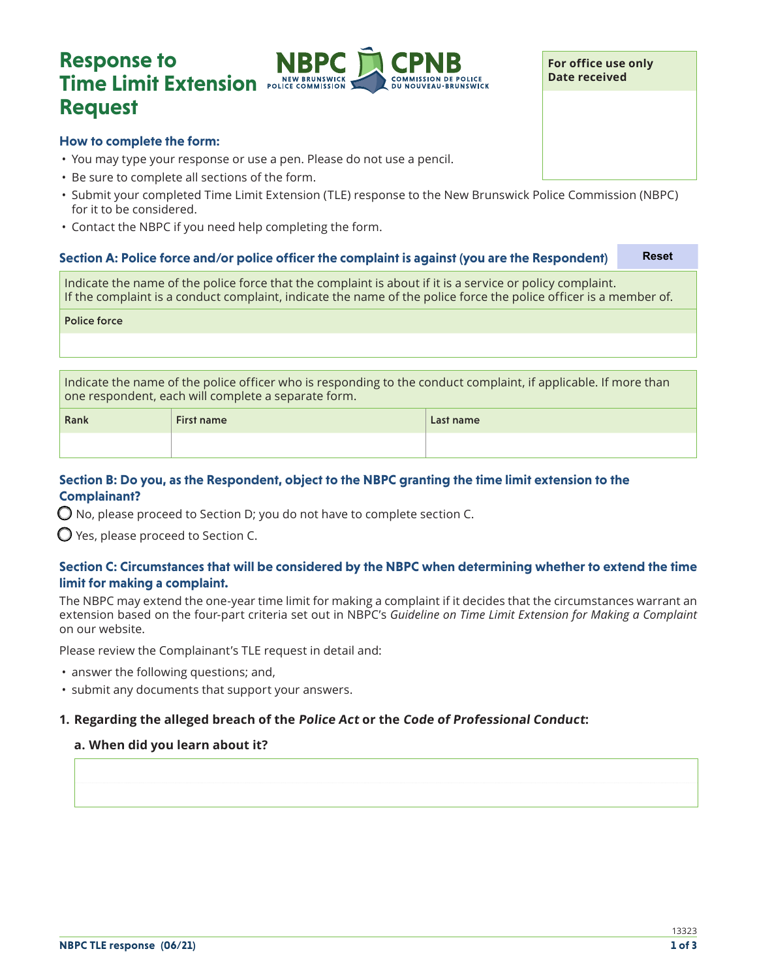# **Response to Time Limit Extension** POLICE COMMISSION **Request**



### **How to complete the form:**

- You may type your response or use a pen. Please do not use a pencil.
- Be sure to complete all sections of the form.
- Submit your completed Time Limit Extension (TLE) response to the New Brunswick Police Commission (NBPC) for it to be considered.
- Contact the NBPC if you need help completing the form.

# **Section A: Police force and/or police officer the complaint is against (you are the Respondent)** Indicate the name of the police force that the complaint is about if it is a service or policy complaint. If the complaint is a conduct complaint, indicate the name of the police force the police officer is a member of. Police force **Reset**

Indicate the name of the police officer who is responding to the conduct complaint, if applicable. If more than one respondent, each will complete a separate form.

| Rank | <b>First name</b> | Last name |
|------|-------------------|-----------|
|      |                   |           |

# **Section B: Do you, as the Respondent, object to the NBPC granting the time limit extension to the Complainant?**

 $\bigcirc$  No, please proceed to Section D; you do not have to complete section C.

 $\bigcirc$  Yes, please proceed to Section C.

# **Section C: Circumstances that will be considered by the NBPC when determining whether to extend the time limit for making a complaint.**

The NBPC may extend the one-year time limit for making a complaint if it decides that the circumstances warrant an extension based on the four-part criteria set out in NBPC's *Guideline on Time Limit Extension for Making a Complaint* on our website.

Please review the Complainant's TLE request in detail and:

- answer the following questions; and,
- submit any documents that support your answers.

# **1. Regarding the alleged breach of the Police Act or the Code of Professional Conduct:**

#### **a. When did you learn about it?**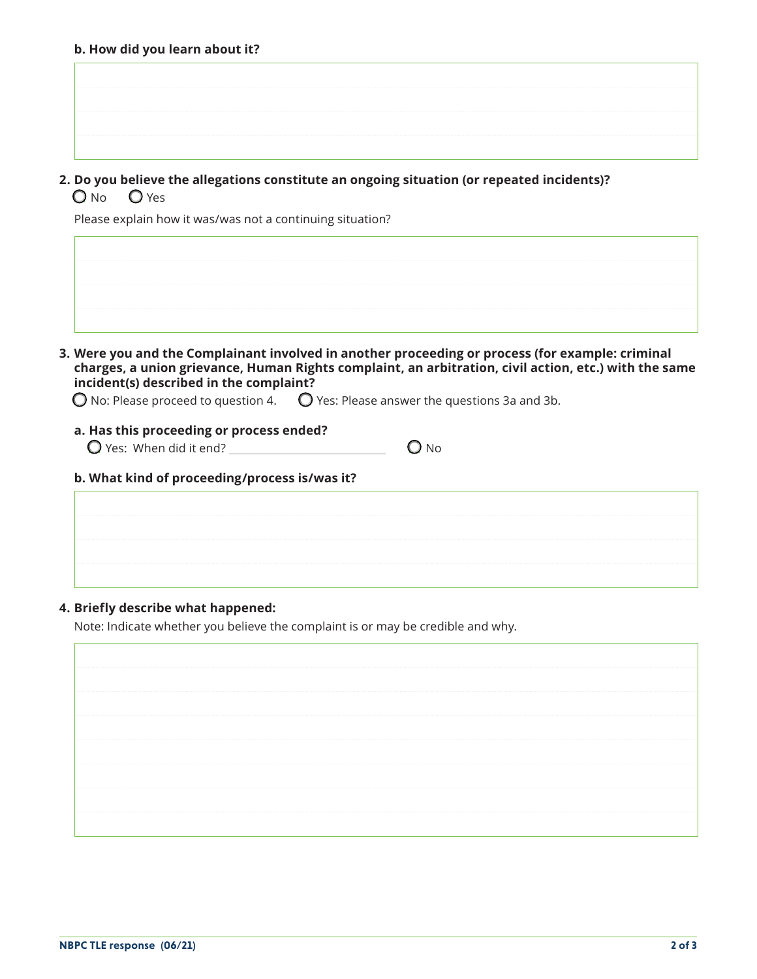| ------------ |  |  |  |  |  |  |  |  |  |
|--------------|--|--|--|--|--|--|--|--|--|
|              |  |  |  |  |  |  |  |  |  |
|              |  |  |  |  |  |  |  |  |  |
|              |  |  |  |  |  |  |  |  |  |
| .            |  |  |  |  |  |  |  |  |  |
|              |  |  |  |  |  |  |  |  |  |
|              |  |  |  |  |  |  |  |  |  |

**2. Do you believe the allegations constitute an ongoing situation (or repeated incidents)?** O<sub>No</sub> O<sub>Yes</sub>

Please explain how it was/was not a continuing situation?

| --------  |
|-----------|
|           |
|           |
| --------- |
|           |
|           |
|           |
|           |
|           |

**3. Were you and the Complainant involved in another proceeding or process (for example: criminal charges, a union grievance, Human Rights complaint, an arbitration, civil action, etc.) with the same incident(s) described in the complaint?**

 $\bigcirc$  No: Please proceed to question 4.  $\bigcirc$  Yes: Please answer the questions 3a and 3b.

#### **a. Has this proceeding or process ended?**

 $\bigcirc$  Yes: When did it end?  $\bigcirc$  No

#### **b. What kind of proceeding/process is/was it?**

#### **4. Briefly describe what happened:**

Note: Indicate whether you believe the complaint is or may be credible and why.